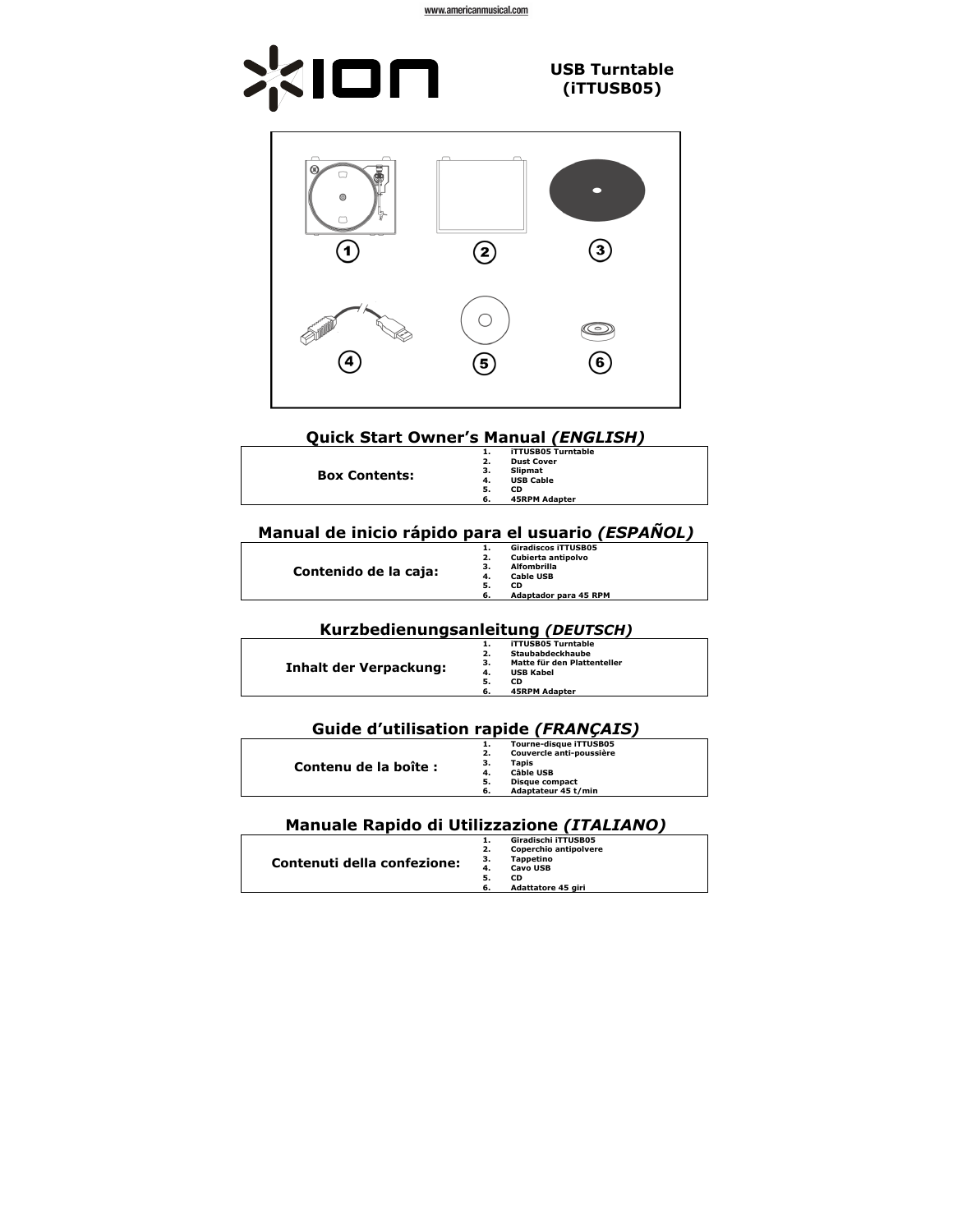

#### **USB Turntable (iTTUSB05)**



#### **Quick Start Owner's Manual** *(ENGLISH)*

| <b>Box Contents:</b> | iTTUSB05 Turntable         |
|----------------------|----------------------------|
|                      | <b>Dust Cover</b><br>2.    |
|                      | Slipmat<br>з.              |
|                      | <b>USB Cable</b><br>4.     |
|                      | CD<br>5.                   |
|                      | <b>45RPM Adapter</b><br>6. |

#### **Manual de inicio rápido para el usuario** *(ESPAÑOL)*

| Contenido de la caja: | <b>Giradiscos iTTUSB05</b>  |
|-----------------------|-----------------------------|
|                       | Cubierta antipolvo<br>2.    |
|                       | <b>Alfombrilla</b><br>з.    |
|                       | <b>Cable USB</b><br>4.      |
|                       | CD                          |
|                       | Adaptador para 45 RPM<br>6. |

## **Kurzbedienungsanleitung** *(DEUTSCH)*

| Inhalt der Verpackung: | iTTUSB05 Turntable                |  |
|------------------------|-----------------------------------|--|
|                        | Staubabdeckhaube<br>-2.           |  |
|                        | Matte für den Plattenteller<br>з. |  |
|                        | <b>USB Kabel</b><br>-4.           |  |
|                        | -5.<br>CD                         |  |
|                        | <b>45RPM Adapter</b><br>-6.       |  |

## **Guide d'utilisation rapide** *(FRANÇAIS)*

| Contenu de la boîte : | 1.  | <b>Tourne-disque iTTUSB05</b> |
|-----------------------|-----|-------------------------------|
|                       | 2.  | Couvercle anti-poussière      |
|                       | з.  | Tapis                         |
|                       | -4. | <b>Câble USB</b>              |
|                       | 5.  | <b>Disque compact</b>         |
|                       | 6.  | Adaptateur 45 t/min           |

## **Manuale Rapido di Utilizzazione** *(ITALIANO)*

|                             | Giradischi iTTUSB05             |
|-----------------------------|---------------------------------|
| Contenuti della confezione: | <b>Coperchio antipolvere</b>    |
|                             | Tappetino<br>з.                 |
|                             | Cavo USB                        |
|                             | 5.<br>CD                        |
|                             | <b>Adattatore 45 giri</b><br>6. |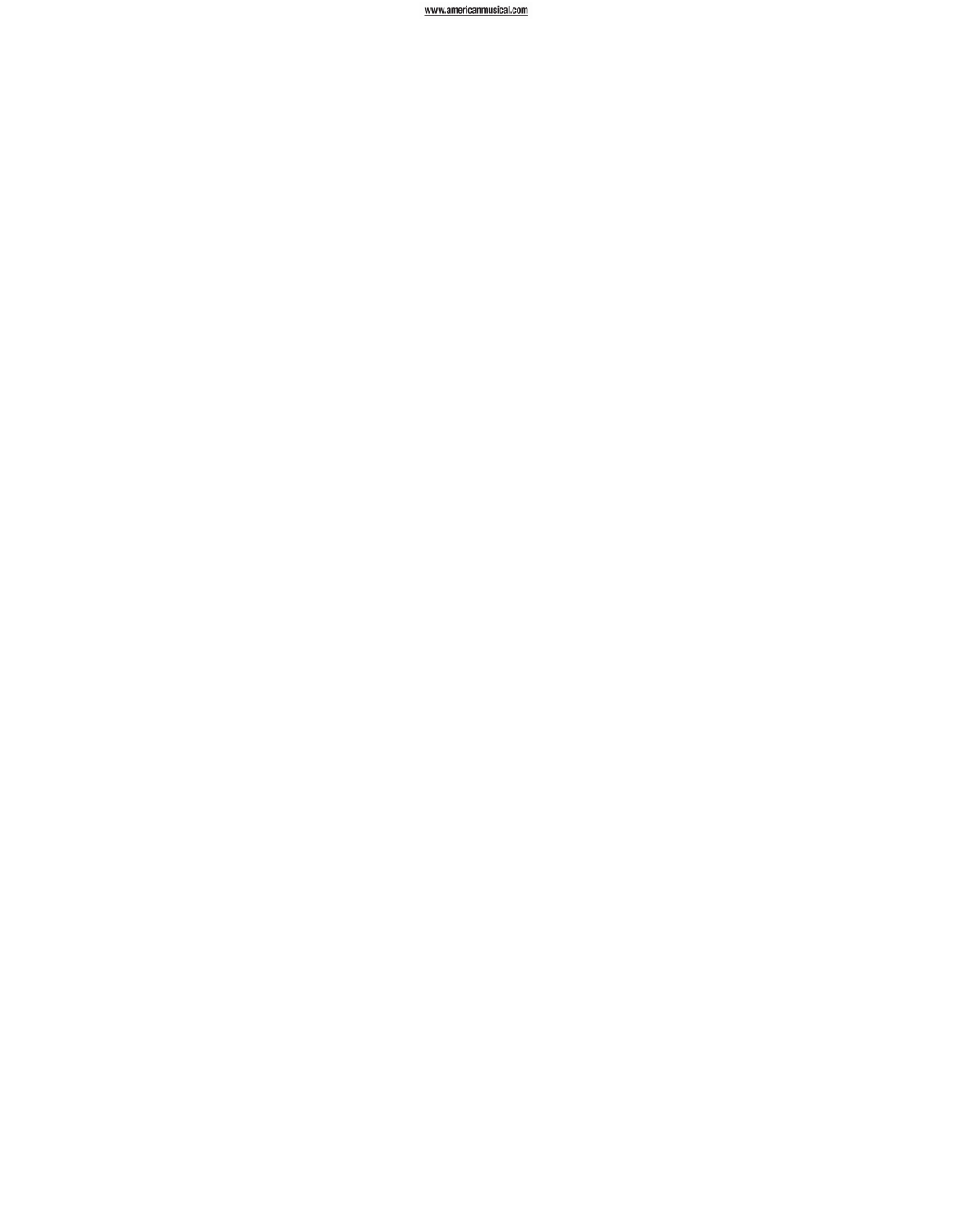www.americanmusical.com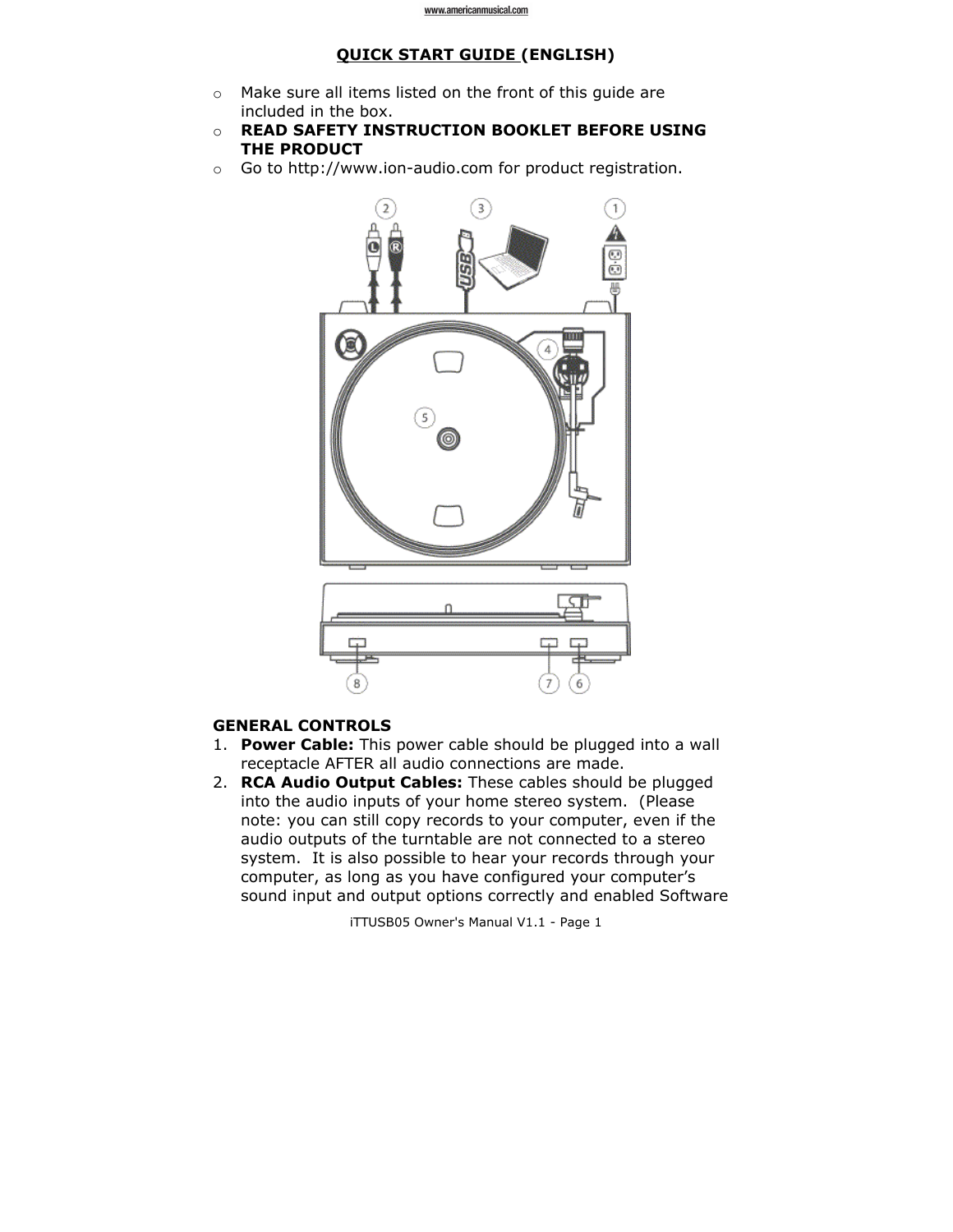## **QUICK START GUIDE (ENGLISH)**

- o Make sure all items listed on the front of this guide are included in the box.
- o **READ SAFETY INSTRUCTION BOOKLET BEFORE USING THE PRODUCT**
- o Go to http://www.ion-audio.com for product registration.



## **GENERAL CONTROLS**

- 1. **Power Cable:** This power cable should be plugged into a wall receptacle AFTER all audio connections are made.
- 2. **RCA Audio Output Cables:** These cables should be plugged into the audio inputs of your home stereo system. (Please note: you can still copy records to your computer, even if the audio outputs of the turntable are not connected to a stereo system. It is also possible to hear your records through your computer, as long as you have configured your computer's sound input and output options correctly and enabled Software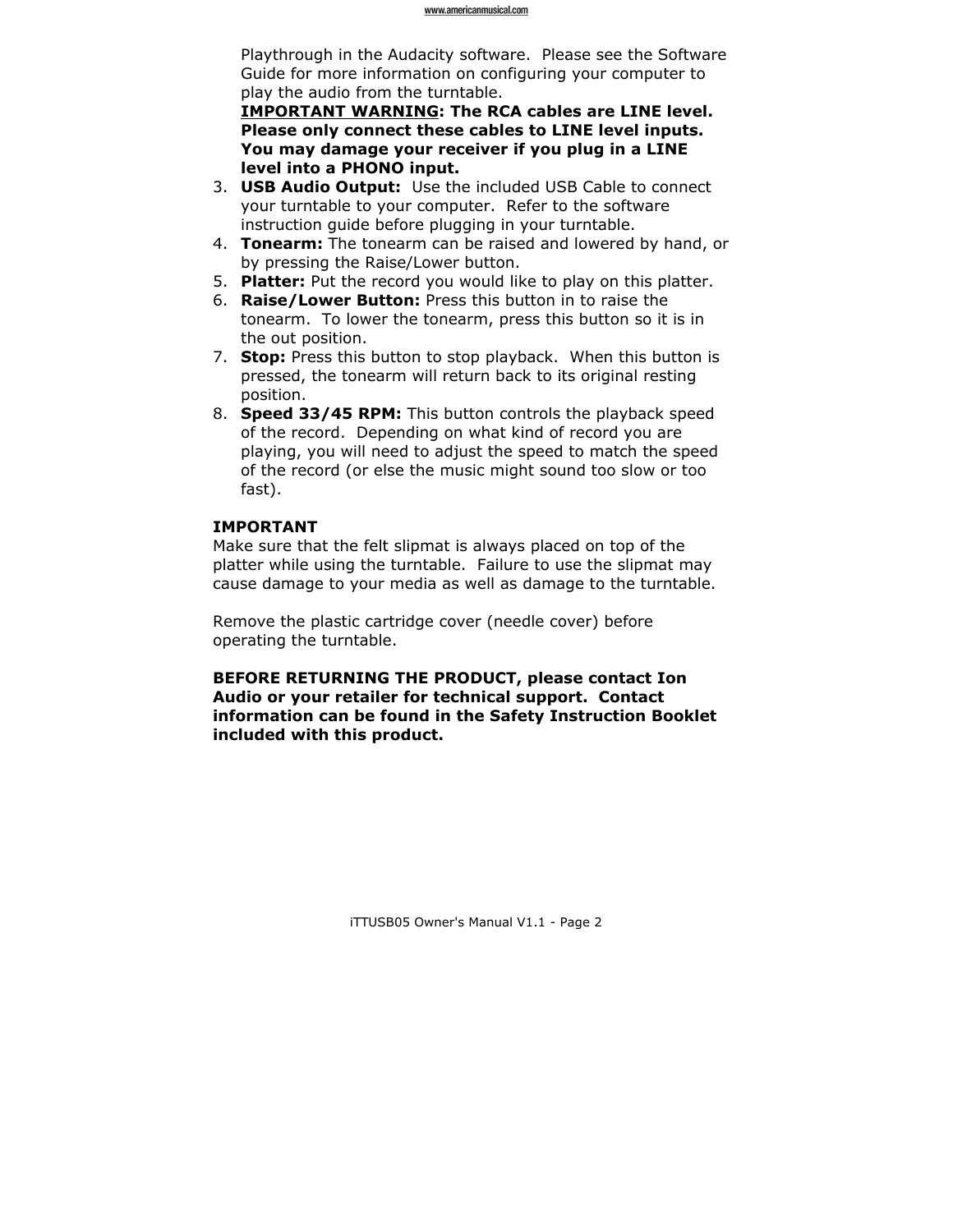Playthrough in the Audacity software. Please see the Software Guide for more information on configuring your computer to play the audio from the turntable.

**IMPORTANT WARNING: The RCA cables are LINE level. Please only connect these cables to LINE level inputs. You may damage your receiver if you plug in a LINE level into a PHONO input.**

- 3. **USB Audio Output:** Use the included USB Cable to connect your turntable to your computer. Refer to the software instruction guide before plugging in your turntable.
- 4. **Tonearm:** The tonearm can be raised and lowered by hand, or by pressing the Raise/Lower button.
- 5. **Platter:** Put the record you would like to play on this platter.
- 6. **Raise/Lower Button:** Press this button in to raise the tonearm. To lower the tonearm, press this button so it is in the out position.
- 7. **Stop:** Press this button to stop playback. When this button is pressed, the tonearm will return back to its original resting position.
- 8. **Speed 33/45 RPM:** This button controls the playback speed of the record. Depending on what kind of record you are playing, you will need to adjust the speed to match the speed of the record (or else the music might sound too slow or too fast).

#### **IMPORTANT**

Make sure that the felt slipmat is always placed on top of the platter while using the turntable. Failure to use the slipmat may cause damage to your media as well as damage to the turntable.

Remove the plastic cartridge cover (needle cover) before operating the turntable.

**BEFORE RETURNING THE PRODUCT, please contact Ion Audio or your retailer for technical support. Contact information can be found in the Safety Instruction Booklet included with this product.**